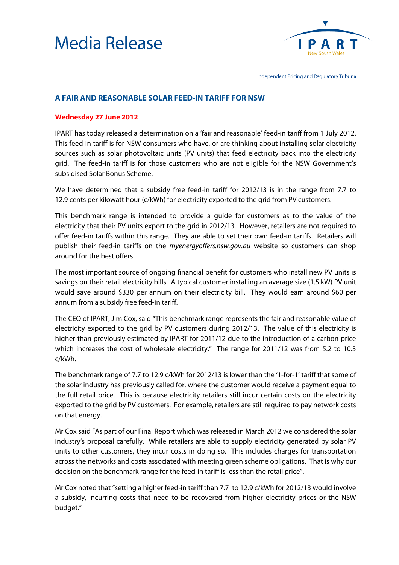



Independent Pricing and Regulatory Tribunal

## **A FAIR AND REASONABLE SOLAR FEED-IN TARIFF FOR NSW**

## **Wednesday 27 June 2012**

IPART has today released a determination on a 'fair and reasonable' feed-in tariff from 1 July 2012. This feed-in tariff is for NSW consumers who have, or are thinking about installing solar electricity sources such as solar photovoltaic units (PV units) that feed electricity back into the electricity grid. The feed-in tariff is for those customers who are not eligible for the NSW Government's subsidised Solar Bonus Scheme.

We have determined that a subsidy free feed-in tariff for 2012/13 is in the range from 7.7 to 12.9 cents per kilowatt hour (c/kWh) for electricity exported to the grid from PV customers.

This benchmark range is intended to provide a guide for customers as to the value of the electricity that their PV units export to the grid in 2012/13. However, retailers are not required to offer feed-in tariffs within this range. They are able to set their own feed-in tariffs. Retailers will publish their feed-in tariffs on the *myenergyoffers.nsw.gov.au* website so customers can shop around for the best offers.

The most important source of ongoing financial benefit for customers who install new PV units is savings on their retail electricity bills. A typical customer installing an average size (1.5 kW) PV unit would save around \$330 per annum on their electricity bill. They would earn around \$60 per annum from a subsidy free feed-in tariff.

The CEO of IPART, Jim Cox, said "This benchmark range represents the fair and reasonable value of electricity exported to the grid by PV customers during 2012/13. The value of this electricity is higher than previously estimated by IPART for 2011/12 due to the introduction of a carbon price which increases the cost of wholesale electricity." The range for 2011/12 was from 5.2 to 10.3 c/kWh.

The benchmark range of 7.7 to 12.9 c/kWh for 2012/13 is lower than the '1-for-1' tariff that some of the solar industry has previously called for, where the customer would receive a payment equal to the full retail price. This is because electricity retailers still incur certain costs on the electricity exported to the grid by PV customers. For example, retailers are still required to pay network costs on that energy.

Mr Cox said "As part of our Final Report which was released in March 2012 we considered the solar industry's proposal carefully. While retailers are able to supply electricity generated by solar PV units to other customers, they incur costs in doing so. This includes charges for transportation across the networks and costs associated with meeting green scheme obligations. That is why our decision on the benchmark range for the feed-in tariff is less than the retail price".

<span id="page-0-0"></span>Mr Cox noted that "setting a higher feed-in tariff than 7.7 to 12.9 c/kWh for 2012/13 would involve a subsidy, incurring costs that need to be recovered from higher electricity prices or the NSW budget."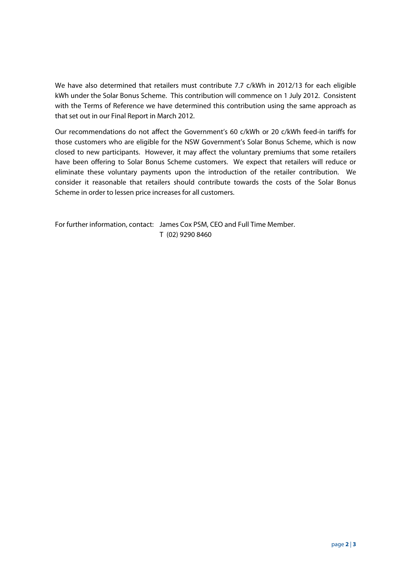We have also determined that retailers must contribute 7.7 c/kWh in 2012/13 for each eligible kWh under the Solar Bonus Scheme. This contribution will commence on 1 July 2012. Consistent with the Terms of Reference we have determined this contribution using the same approach as that set out in our Final Report in March 2012.

Our recommendations do not affect the Government's 60 c/kWh or 20 c/kWh feed-in tariffs for those customers who are eligible for the NSW Government's Solar Bonus Scheme, which is now closed to new participants. However, it may affect the voluntary premiums that some retailers have been offering to Solar Bonus Scheme customers. We expect that retailers will reduce or eliminate these voluntary payments upon the introduction of the retailer contribution. We consider it reasonable that retailers should contribute towards the costs of the Solar Bonus Scheme in order to lessen price increases for all customers.

For further information, contact: James Cox PSM, CEO and Full Time Member. T (02) 9290 8460